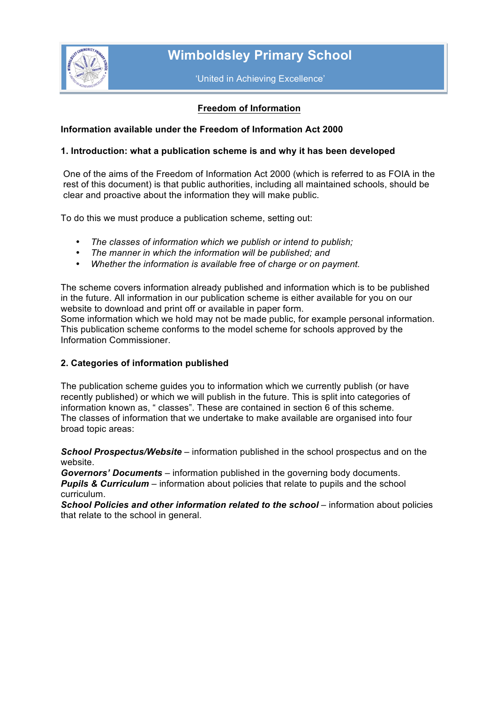

# **Wimboldsley Primary School**

'United in Achieving Excellence'

## **Freedom of Information**

## **Information available under the Freedom of Information Act 2000**

## **1. Introduction: what a publication scheme is and why it has been developed**

One of the aims of the Freedom of Information Act 2000 (which is referred to as FOIA in the rest of this document) is that public authorities, including all maintained schools, should be clear and proactive about the information they will make public.

To do this we must produce a publication scheme, setting out:

- *The classes of information which we publish or intend to publish;*
- *The manner in which the information will be published; and*
- *Whether the information is available free of charge or on payment.*

The scheme covers information already published and information which is to be published in the future. All information in our publication scheme is either available for you on our website to download and print off or available in paper form.

Some information which we hold may not be made public, for example personal information. This publication scheme conforms to the model scheme for schools approved by the Information Commissioner.

## **2. Categories of information published**

The publication scheme guides you to information which we currently publish (or have recently published) or which we will publish in the future. This is split into categories of information known as, " classes". These are contained in section 6 of this scheme. The classes of information that we undertake to make available are organised into four broad topic areas:

*School Prospectus/Website* – information published in the school prospectus and on the website.

*Governors' Documents* – information published in the governing body documents. *Pupils & Curriculum* – information about policies that relate to pupils and the school curriculum.

*School Policies and other information related to the school* – information about policies that relate to the school in general.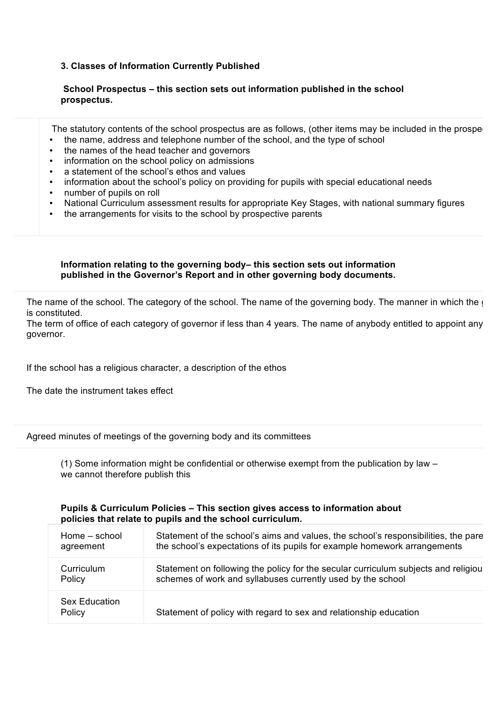## **3. Classes of Information Currently Published**

#### **School Prospectus – this section sets out information published in the school prospectus.**

The statutory contents of the school prospectus are as follows, (other items may be included in the prospectually • the name, address and telephone number of the school, and the type of school

- the names of the head teacher and governors
- information on the school policy on admissions
- a statement of the school's ethos and values
- 
- information about the school's policy on providing for pupils with special educational needs
- number of pupils on roll
- National Curriculum assessment results for appropriate Key Stages, with national summary figures
- the arrangements for visits to the school by prospective parents

#### **Information relating to the governing body– this section sets out information published in the Governor's Report and in other governing body documents.**

The name of the school. The category of the school. The name of the governing body. The manner in which the  $q$ is constituted.

The term of office of each category of governor if less than 4 years. The name of anybody entitled to appoint any governor.

If the school has a religious character, a description of the ethos

The date the instrument takes effect

Agreed minutes of meetings of the governing body and its committees

(1) Some information might be confidential or otherwise exempt from the publication by law – we cannot therefore publish this

#### **Pupils & Curriculum Policies – This section gives access to information about policies that relate to pupils and the school curriculum.**

| Home – school           | Statement of the school's aims and values, the school's responsibilities, the pare  |
|-------------------------|-------------------------------------------------------------------------------------|
| agreement               | the school's expectations of its pupils for example homework arrangements           |
| Curriculum              | Statement on following the policy for the secular curriculum subjects and religious |
| Policy                  | schemes of work and syllabuses currently used by the school                         |
| Sex Education<br>Policy | Statement of policy with regard to sex and relationship education                   |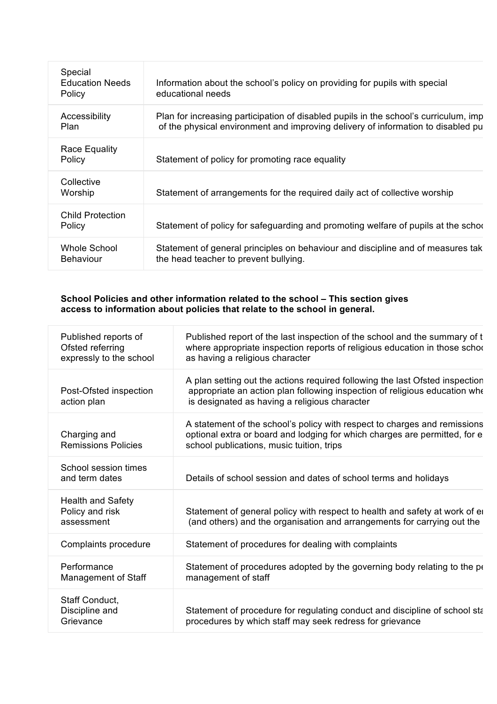| Special<br><b>Education Needs</b><br>Policy | Information about the school's policy on providing for pupils with special<br>educational needs                                                                          |
|---------------------------------------------|--------------------------------------------------------------------------------------------------------------------------------------------------------------------------|
| Accessibility<br><b>Plan</b>                | Plan for increasing participation of disabled pupils in the school's curriculum, imp<br>of the physical environment and improving delivery of information to disabled pu |
| Race Equality<br>Policy                     | Statement of policy for promoting race equality                                                                                                                          |
| Collective<br>Worship                       | Statement of arrangements for the required daily act of collective worship                                                                                               |
| <b>Child Protection</b><br>Policy           | Statement of policy for safeguarding and promoting welfare of pupils at the school                                                                                       |
| Whole School<br><b>Behaviour</b>            | Statement of general principles on behaviour and discipline and of measures take<br>the head teacher to prevent bullying.                                                |

#### **School Policies and other information related to the school – This section gives access to information about policies that relate to the school in general.**

| Published reports of<br>Ofsted referring<br>expressly to the school | Published report of the last inspection of the school and the summary of t<br>where appropriate inspection reports of religious education in those schod<br>as having a religious character                 |
|---------------------------------------------------------------------|-------------------------------------------------------------------------------------------------------------------------------------------------------------------------------------------------------------|
| Post-Ofsted inspection<br>action plan                               | A plan setting out the actions required following the last Ofsted inspection<br>appropriate an action plan following inspection of religious education whe<br>is designated as having a religious character |
| Charging and<br><b>Remissions Policies</b>                          | A statement of the school's policy with respect to charges and remissions<br>optional extra or board and lodging for which charges are permitted, for e.<br>school publications, music tuition, trips       |
| School session times<br>and term dates                              | Details of school session and dates of school terms and holidays                                                                                                                                            |
| <b>Health and Safety</b><br>Policy and risk<br>assessment           | Statement of general policy with respect to health and safety at work of er<br>(and others) and the organisation and arrangements for carrying out the                                                      |
| Complaints procedure                                                | Statement of procedures for dealing with complaints                                                                                                                                                         |
| Performance<br>Management of Staff                                  | Statement of procedures adopted by the governing body relating to the per-<br>management of staff                                                                                                           |
| Staff Conduct.<br>Discipline and<br>Grievance                       | Statement of procedure for regulating conduct and discipline of school sta<br>procedures by which staff may seek redress for grievance                                                                      |